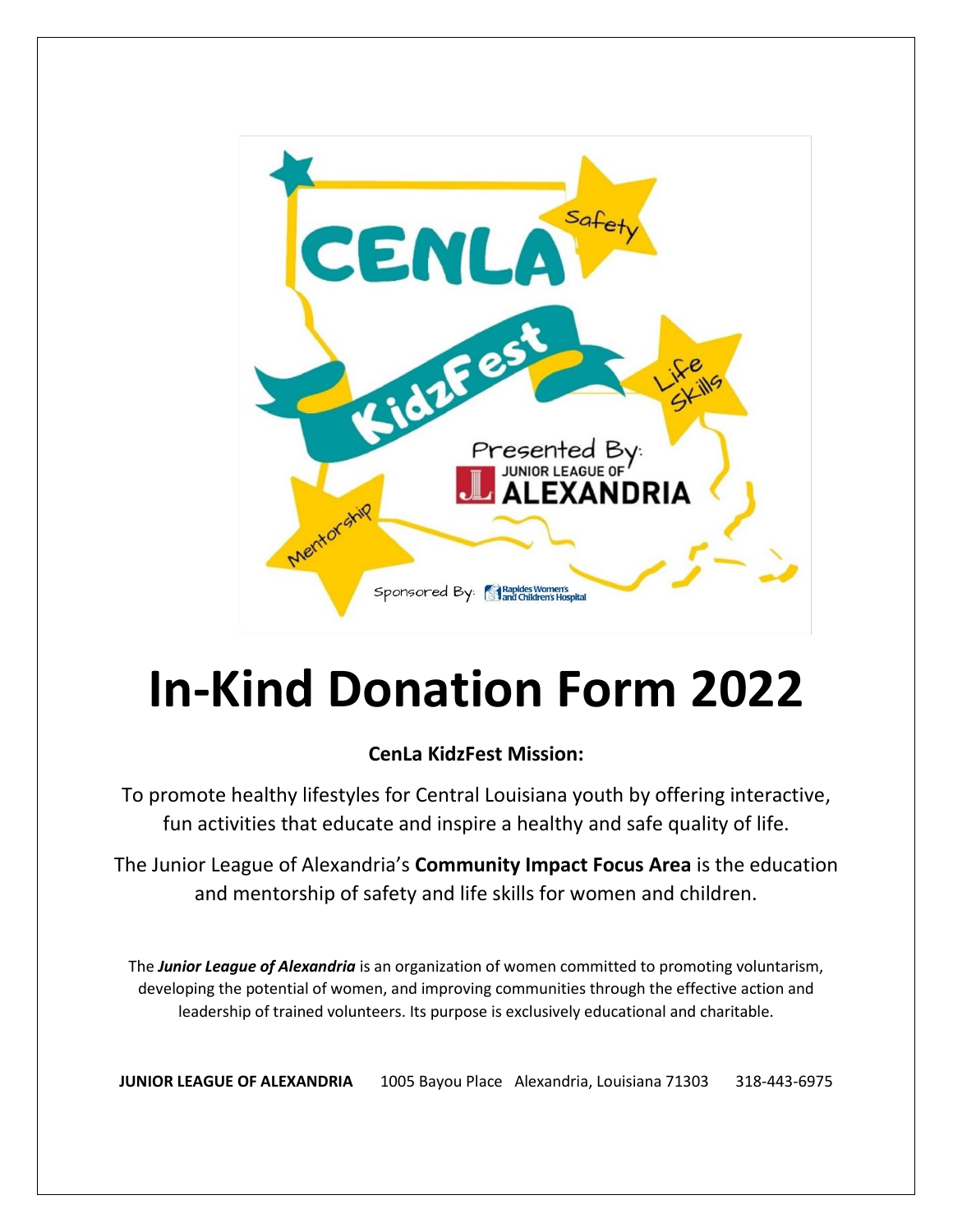

## **In-Kind Donation Form 2022**

## **CenLa KidzFest Mission:**

To promote healthy lifestyles for Central Louisiana youth by offering interactive, fun activities that educate and inspire a healthy and safe quality of life.

The Junior League of Alexandria's **Community Impact Focus Area** is the education and mentorship of safety and life skills for women and children.

The *Junior League of Alexandria* is an organization of women committed to promoting voluntarism, developing the potential of women, and improving communities through the effective action and leadership of trained volunteers. Its purpose is exclusively educational and charitable.

**JUNIOR LEAGUE OF ALEXANDRIA** 1005 Bayou Place Alexandria, Louisiana 71303 318-443-6975